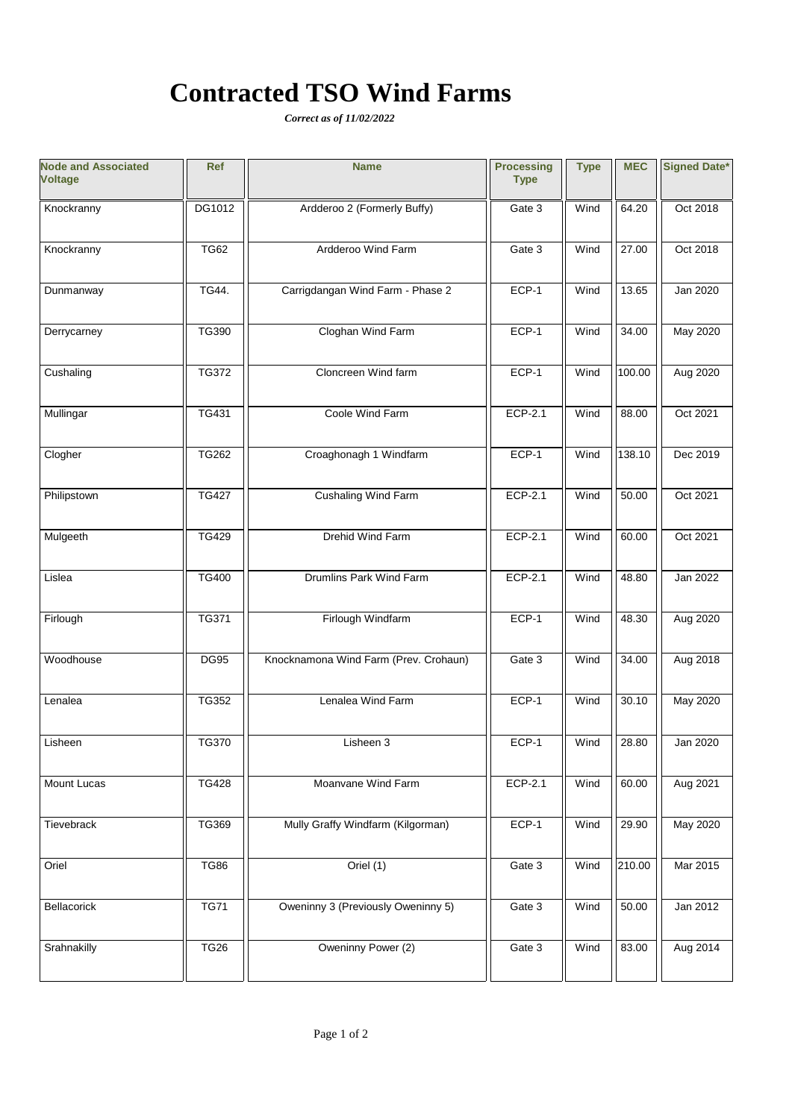# **Contracted TSO Wind Farms**

*Correct as of 11/02/2022*

| <b>Node and Associated</b><br><b>Voltage</b> | <b>Ref</b>   | <b>Name</b>                           | <b>Processing</b><br><b>Type</b> | <b>Type</b> | <b>MEC</b> | <b>Signed Date*</b> |
|----------------------------------------------|--------------|---------------------------------------|----------------------------------|-------------|------------|---------------------|
| Knockranny                                   | DG1012       | Ardderoo 2 (Formerly Buffy)           | Gate 3                           | Wind        | 64.20      | Oct 2018            |
| Knockranny                                   | <b>TG62</b>  | Ardderoo Wind Farm                    | Gate 3                           | Wind        | 27.00      | Oct 2018            |
| Dunmanway                                    | TG44.        | Carrigdangan Wind Farm - Phase 2      | ECP-1                            | Wind        | 13.65      | Jan 2020            |
| Derrycarney                                  | TG390        | Cloghan Wind Farm                     | ECP-1                            | Wind        | 34.00      | May 2020            |
| Cushaling                                    | <b>TG372</b> | Cloncreen Wind farm                   | ECP-1                            | Wind        | 100.00     | Aug 2020            |
| Mullingar                                    | TG431        | Coole Wind Farm                       | ECP-2.1                          | Wind        | 88.00      | Oct 2021            |
| Clogher                                      | <b>TG262</b> | Croaghonagh 1 Windfarm                | ECP-1                            | Wind        | 138.10     | Dec 2019            |
| Philipstown                                  | <b>TG427</b> | Cushaling Wind Farm                   | ECP-2.1                          | Wind        | 50.00      | Oct 2021            |
| Mulgeeth                                     | <b>TG429</b> | Drehid Wind Farm                      | ECP-2.1                          | Wind        | 60.00      | Oct 2021            |
| Lislea                                       | <b>TG400</b> | Drumlins Park Wind Farm               | ECP-2.1                          | Wind        | 48.80      | Jan 2022            |
| Firlough                                     | TG371        | Firlough Windfarm                     | ECP-1                            | Wind        | 48.30      | Aug 2020            |
| Woodhouse                                    | <b>DG95</b>  | Knocknamona Wind Farm (Prev. Crohaun) | Gate 3                           | Wind        | 34.00      | Aug 2018            |
| Lenalea                                      | TG352        | Lenalea Wind Farm                     | ECP-1                            | Wind        | 30.10      | May 2020            |
| Lisheen                                      | <b>TG370</b> | Lisheen 3                             | ECP-1                            | Wind        | 28.80      | Jan 2020            |
| Mount Lucas                                  | <b>TG428</b> | Moanvane Wind Farm                    | ECP-2.1                          | Wind        | 60.00      | Aug 2021            |
| Tievebrack                                   | TG369        | Mully Graffy Windfarm (Kilgorman)     | ECP-1                            | Wind        | 29.90      | May 2020            |
| Oriel                                        | <b>TG86</b>  | Oriel $(1)$                           | Gate 3                           | Wind        | 210.00     | Mar 2015            |
| Bellacorick                                  | <b>TG71</b>  | Oweninny 3 (Previously Oweninny 5)    | Gate 3                           | Wind        | 50.00      | Jan 2012            |
| Srahnakilly                                  | <b>TG26</b>  | Oweninny Power (2)                    | Gate 3                           | Wind        | 83.00      | Aug 2014            |